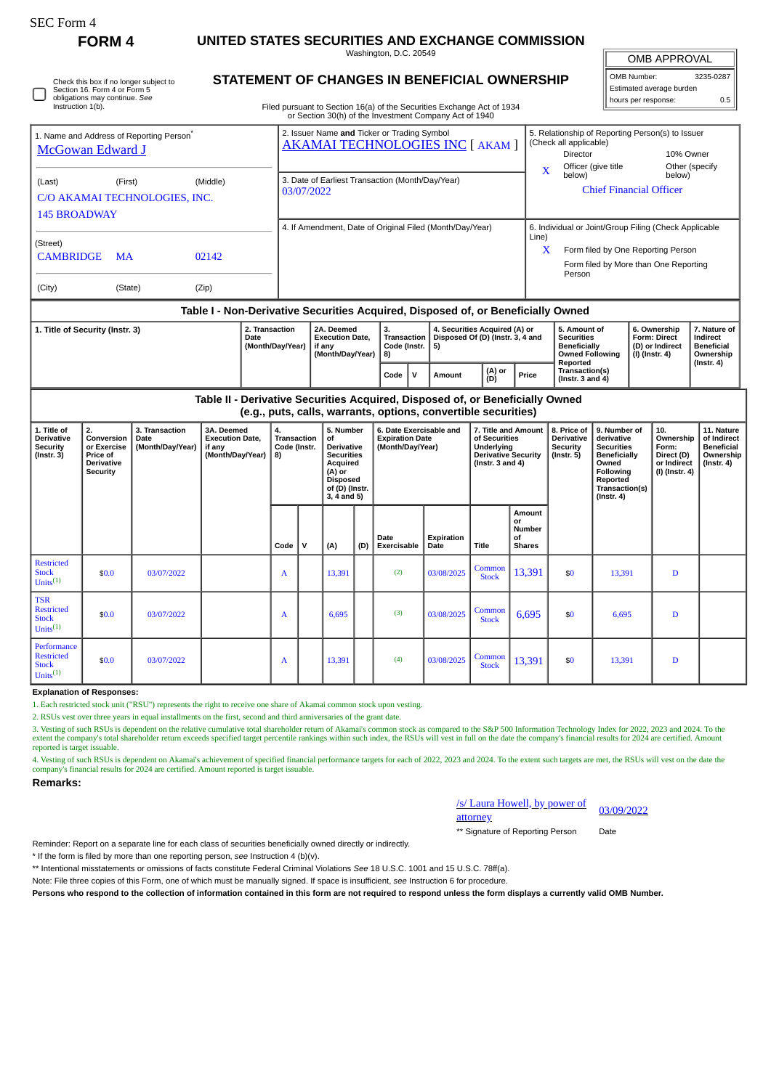| r'C Form |  |
|----------|--|
|----------|--|

**FORM 4 UNITED STATES SECURITIES AND EXCHANGE COMMISSION**

Washington, D.C. 20549

| OMB APPROVAL |          |  |
|--------------|----------|--|
|              | 0.000000 |  |

OMB Number: 3235-0287 Estimated average burden hours per response: 0.5

| ◡ | Check this box if no longer subject to<br>Section 16. Form 4 or Form 5<br>obligations may continue. See<br>Instruction 1(b). |  |
|---|------------------------------------------------------------------------------------------------------------------------------|--|
|---|------------------------------------------------------------------------------------------------------------------------------|--|

## **STATEMENT OF CHANGES IN BENEFICIAL OWNERSHIP**

Filed pursuant to Section 16(a) of the Securities Exchange Act of 1934 or Section 30(h) of the Investment Company Act of 1940

| 1. Title of Security (Instr. 3)                                                  |           |          | 2. Transaction<br><b>Date</b><br>(Month/Day/Year) | 2A. Deemed<br><b>Execution Date,</b><br>if any<br>$(M$ onth $Day/Year$   8) | 3.<br>Transaction<br>Code (Instr. $  5$ ) | 4. Securities Acquired (A) or<br>Disposed Of (D) (Instr. 3, 4 and |                                                                                                            | 5. Amount of<br><b>Securities</b><br>Beneficially<br>Owned Following | 6. Ownership<br><b>Form: Direct</b><br>(D) or Indirect<br>$(1)$ (Instr $A$ ) | 7. Nature of<br>Indirect<br><b>Beneficial</b><br>Ownershin |  |  |
|----------------------------------------------------------------------------------|-----------|----------|---------------------------------------------------|-----------------------------------------------------------------------------|-------------------------------------------|-------------------------------------------------------------------|------------------------------------------------------------------------------------------------------------|----------------------------------------------------------------------|------------------------------------------------------------------------------|------------------------------------------------------------|--|--|
| Table I - Non-Derivative Securities Acquired, Disposed of, or Beneficially Owned |           |          |                                                   |                                                                             |                                           |                                                                   |                                                                                                            |                                                                      |                                                                              |                                                            |  |  |
| (City)                                                                           | (State)   | (Zip)    |                                                   |                                                                             |                                           |                                                                   |                                                                                                            |                                                                      |                                                                              |                                                            |  |  |
| <b>CAMBRIDGE</b>                                                                 | <b>MA</b> | 02142    |                                                   |                                                                             |                                           |                                                                   |                                                                                                            | Form filed by More than One Reporting<br>Person                      |                                                                              |                                                            |  |  |
| (Street)                                                                         |           |          |                                                   |                                                                             |                                           |                                                                   | Line)<br>$\lambda$                                                                                         | Form filed by One Reporting Person                                   |                                                                              |                                                            |  |  |
| <b>145 BROADWAY</b>                                                              |           |          |                                                   | 4. If Amendment, Date of Original Filed (Month/Day/Year)                    |                                           |                                                                   |                                                                                                            | 6. Individual or Joint/Group Filing (Check Applicable                |                                                                              |                                                            |  |  |
| C/O AKAMAI TECHNOLOGIES, INC.                                                    |           |          | 03/07/2022                                        |                                                                             |                                           |                                                                   |                                                                                                            |                                                                      | <b>Chief Financial Officer</b>                                               |                                                            |  |  |
| (Last)                                                                           | (First)   | (Middle) |                                                   | 3. Date of Earliest Transaction (Month/Day/Year)                            |                                           |                                                                   |                                                                                                            | Officer (give title<br>below)                                        | below)                                                                       | Other (specify                                             |  |  |
| 1. Name and Address of Reporting Person <sup>®</sup><br>McGowan Edward J         |           |          |                                                   | 2. Issuer Name and Ticker or Trading Symbol                                 |                                           | AKAMAI TECHNOLOGIES INC [ AKAM ]                                  | 5. Relationship of Reporting Person(s) to Issuer<br>(Check all applicable)<br>10% Owner<br><b>Director</b> |                                                                      |                                                                              |                                                            |  |  |

|                                                                                                                                                 |                                                                     |                                            |                                                                    | (Month/Day/Year)   8)                     |                                                                        |                                                                              |  |  |                                                                                                             |  | (I) (Instr. 4)<br><b>Owned Following</b><br>Reported       |                                                                          |  |                                                        | Ownership<br>(Instr. 4)                                                     |  |
|-------------------------------------------------------------------------------------------------------------------------------------------------|---------------------------------------------------------------------|--------------------------------------------|--------------------------------------------------------------------|-------------------------------------------|------------------------------------------------------------------------|------------------------------------------------------------------------------|--|--|-------------------------------------------------------------------------------------------------------------|--|------------------------------------------------------------|--------------------------------------------------------------------------|--|--------------------------------------------------------|-----------------------------------------------------------------------------|--|
|                                                                                                                                                 |                                                                     |                                            |                                                                    |                                           |                                                                        | (A) or<br>Price<br>Code<br>Amount<br>(D)                                     |  |  |                                                                                                             |  | Transaction(s)<br>(Instr. $3$ and $4$ )                    |                                                                          |  |                                                        |                                                                             |  |
| Table II - Derivative Securities Acquired, Disposed of, or Beneficially Owned<br>(e.g., puts, calls, warrants, options, convertible securities) |                                                                     |                                            |                                                                    |                                           |                                                                        |                                                                              |  |  |                                                                                                             |  |                                                            |                                                                          |  |                                                        |                                                                             |  |
| 1. Title of<br>Derivative<br>Securitv<br>(Instr. 3)                                                                                             | Conversion  <br>or Exercise<br><b>Price of</b><br><b>Derivative</b> | 3. Transaction<br>Date<br>(Month/Dav/Year) | 3A. Deemed<br><b>Execution Date.</b><br>if anv<br>(Month/Dav/Year) | 4.<br>Transaction<br>Code (Instr.<br>l 8) | 5. Number<br>∣of<br><b>Derivative</b><br><b>Securities</b><br>Acquired | <b>6. Date Exercisable and</b><br><b>Expiration Date</b><br>(Month/Dav/Year) |  |  | 7. Title and Amount<br>of Securities<br>Underlving<br><b>Derivative Security</b><br>$($ lnstr. $3$ and $4)$ |  | 8. Price of<br><b>Derivative</b><br>Security<br>(Instr. 5) | 9. Number of<br>derivative<br><b>Securities</b><br>Beneficially<br>Owned |  | 10.<br>Ownership<br>Form:<br>Direct (D)<br>or Indirect | 11. Nature<br>of Indirect<br><b>Beneficial</b><br>Ownership  <br>(Instr. 4) |  |

|                                                                   | <b>Derivative</b><br><b>Security</b> |            | $(A)$ or          |  | <b>Disposed</b><br>of (D) (Instr.<br>3, 4 and 5) |     | Acquired            |                    |                        |                                               | (Instr. $3$ and $4$ ) |        |   |  |  |  |  | Owned<br>Following<br>Reported<br>Transaction(s)<br>$($ Instr. 4 $)$ | or Indirect<br>(I) (Instr. 4) | $($ Instr. 4 $)$ |
|-------------------------------------------------------------------|--------------------------------------|------------|-------------------|--|--------------------------------------------------|-----|---------------------|--------------------|------------------------|-----------------------------------------------|-----------------------|--------|---|--|--|--|--|----------------------------------------------------------------------|-------------------------------|------------------|
|                                                                   |                                      |            | Code $\vert \vee$ |  | (A)                                              | (D) | Date<br>Exercisable | Expiration<br>Date | Title                  | Amount<br>or<br>Number<br>of<br><b>Shares</b> |                       |        |   |  |  |  |  |                                                                      |                               |                  |
| Restricted<br><b>Stock</b><br>Units $^{(1)}$                      | \$0.0                                | 03/07/2022 | A                 |  | 13,391                                           |     | (2)                 | 03/08/2025         | Common<br><b>Stock</b> | 13,391                                        | \$0                   | 13,391 | D |  |  |  |  |                                                                      |                               |                  |
| <b>TSR</b><br>Restricted<br><b>Stock</b><br>Units <sup>(1)</sup>  | \$0.0                                | 03/07/2022 | A                 |  | 6,695                                            |     | (3)                 | 03/08/2025         | Common<br><b>Stock</b> | 6,695                                         | \$0                   | 6,695  | D |  |  |  |  |                                                                      |                               |                  |
| Performance<br>Restricted<br><b>Stock</b><br>Units <sup>(1)</sup> | \$0.0                                | 03/07/2022 | A                 |  | 13,391                                           |     | (4)                 | 03/08/2025         | Common<br><b>Stock</b> | 13,391                                        | \$0                   | 13,391 | D |  |  |  |  |                                                                      |                               |                  |

**Explanation of Responses:**

1. Each restricted stock unit ("RSU") represents the right to receive one share of Akamai common stock upon vesting.

2. RSUs vest over three years in equal installments on the first, second and third anniversaries of the grant date.

3. Vesting of such RSUs is dependent on the relative cumulative total shareholder return of Akamai's common stock as compared to the S&P 500 Information Technology Index for 2022, 2023 and 2024. To the<br>extent the company's reported is target issuable.

4. Vesting of such RSUs is dependent on Akamai's achievement of specified financial performance targets for each of 2022, 2023 and 2024. To the extent such targets are met, the RSUs will vest on the date the company's financial results for 2024 are certified. Amount reported is target issuable.

**Remarks:**

|          | /s/ Laura Howell, by power of |  |
|----------|-------------------------------|--|
| attorney |                               |  |

03/09/2022

\*\* Signature of Reporting Person Date

Reminder: Report on a separate line for each class of securities beneficially owned directly or indirectly.

\* If the form is filed by more than one reporting person, *see* Instruction 4 (b)(v).

\*\* Intentional misstatements or omissions of facts constitute Federal Criminal Violations *See* 18 U.S.C. 1001 and 15 U.S.C. 78ff(a).

Note: File three copies of this Form, one of which must be manually signed. If space is insufficient, *see* Instruction 6 for procedure.

**Persons who respond to the collection of information contained in this form are not required to respond unless the form displays a currently valid OMB Number.**